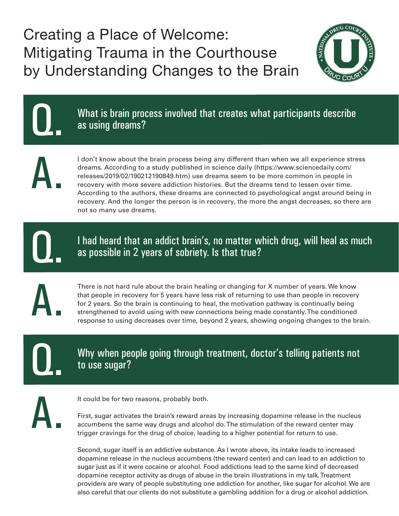Creating a Place of Welcome: Mitigating Trauma in the Courthouse by Understanding Changes to the Brain



What is brain process involved that creates what participants describe as using dreams?

A.

Q.

I don't know about the brain process being any different than when we all experience stress dreams. According to a study published in science daily (https://www.sciencedaily.com/ releases/2019/02/190212190849.htm) use dreams seem to be more common in people in recovery with more severe addiction histories. But the dreams tend to lessen over time. According to the authors, these dreams are connected to psychological angst around being in recovery. And the longer the person is in recovery, the more the angst decreases, so there are not so many use dreams.

Q.

I had heard that an addict brain's, no matter which drug, will heal as much as possible in 2 years of sobriety. Is that true?

A.

There is not hard rule about the brain healing or changing for X number of years. We know that people in recovery for 5 years have less risk of returning to use than people in recovery for 2 years. So the brain is continuing to heal, the motivation pathway is continually being strengthened to avoid using with new connections being made constantly. The conditioned response to using decreases over time, beyond 2 years, showing ongoing changes to the brain.

Q.

Why when people going through treatment, doctor's telling patients not to use sugar?

A.

It could be for two reasons, probably both.

First, sugar activates the brain's reward areas by increasing dopamine release in the nucleus accumbens the same way drugs and alcohol do. The stimulation of the reward center may trigger cravings for the drug of choice, leading to a higher potential for return to use.

Second, sugar itself is an addictive substance. As I wrote above, its intake leads to increased dopamine release in the nucleus accumbens (the reward center) and can lead to an addiction to sugar just as if it were cocaine or alcohol. Food addictions lead to the same kind of decreased dopamine receptor activity as drugs of abuse in the brain illustrations in my talk. Treatment providers are wary of people substituting one addiction for another, like sugar for alcohol. We are also careful that our clients do not substitute a gambling addition for a drug or alcohol addiction.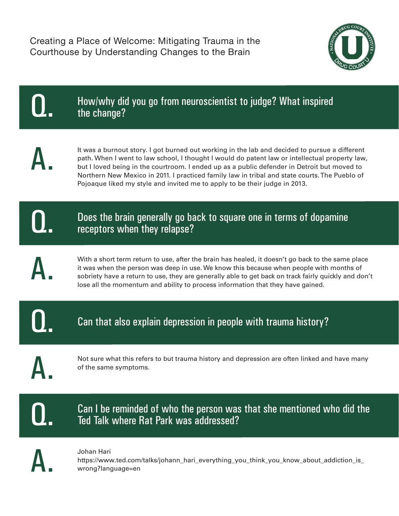

| How/why did you go from neuroscientist to judge? What inspired<br>the change?                                                                                                                                                                                                                                                                                                                                                                                                 |
|-------------------------------------------------------------------------------------------------------------------------------------------------------------------------------------------------------------------------------------------------------------------------------------------------------------------------------------------------------------------------------------------------------------------------------------------------------------------------------|
| It was a burnout story. I got burned out working in the lab and decided to pursue a different<br>path. When I went to law school, I thought I would do patent law or intellectual property law,<br>but I loved being in the courtroom. I ended up as a public defender in Detroit but moved to<br>Northern New Mexico in 2011. I practiced family law in tribal and state courts. The Pueblo of<br>Pojoaque liked my style and invited me to apply to be their judge in 2013. |
| Does the brain generally go back to square one in terms of dopamine<br>receptors when they relapse?                                                                                                                                                                                                                                                                                                                                                                           |
| With a short term return to use, after the brain has healed, it doesn't go back to the same place<br>it was when the person was deep in use. We know this because when people with months of<br>sobriety have a return to use, they are generally able to get back on track fairly quickly and don't<br>lose all the momentum and ability to process information that they have gained.                                                                                       |
| Can that also explain depression in people with trauma history?                                                                                                                                                                                                                                                                                                                                                                                                               |
| Not sure what this refers to but trauma history and depression are often linked and have many<br>of the same symptoms.                                                                                                                                                                                                                                                                                                                                                        |
| Can I be reminded of who the person was that she mentioned who did the<br>Ted Talk where Rat Park was addressed?                                                                                                                                                                                                                                                                                                                                                              |
| Johan Hari<br>https://www.ted.com/talks/johann_hari_everything_you_think_you_know_about_addiction_is_<br>wrong?language=en                                                                                                                                                                                                                                                                                                                                                    |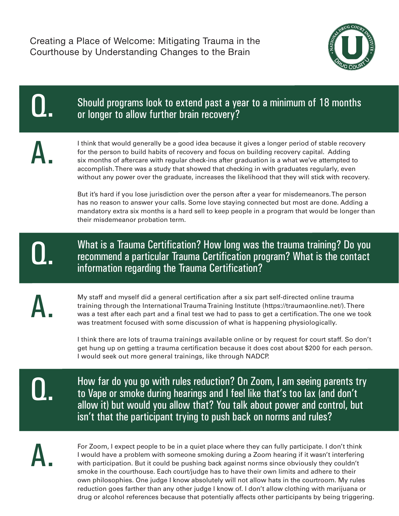

| Should programs look to extend past a year to a minimum of 18 months<br>or longer to allow further brain recovery?                                                                                                                                                                                                                                                                                                                                                                                                                                                                                                                                                  |
|---------------------------------------------------------------------------------------------------------------------------------------------------------------------------------------------------------------------------------------------------------------------------------------------------------------------------------------------------------------------------------------------------------------------------------------------------------------------------------------------------------------------------------------------------------------------------------------------------------------------------------------------------------------------|
| I think that would generally be a good idea because it gives a longer period of stable recovery<br>for the person to build habits of recovery and focus on building recovery capital. Adding<br>six months of aftercare with regular check-ins after graduation is a what we've attempted to<br>accomplish. There was a study that showed that checking in with graduates regularly, even<br>without any power over the graduate, increases the likelihood that they will stick with recovery.                                                                                                                                                                      |
| But it's hard if you lose jurisdiction over the person after a year for misdemeanors. The person<br>has no reason to answer your calls. Some love staying connected but most are done. Adding a<br>mandatory extra six months is a hard sell to keep people in a program that would be longer than<br>their misdemeanor probation term.                                                                                                                                                                                                                                                                                                                             |
| What is a Trauma Certification? How long was the trauma training? Do you<br>recommend a particular Trauma Certification program? What is the contact<br>information regarding the Trauma Certification?                                                                                                                                                                                                                                                                                                                                                                                                                                                             |
| My staff and myself did a general certification after a six part self-directed online trauma<br>training through the International Trauma Training Institute (https://traumaonline.net/). There<br>was a test after each part and a final test we had to pass to get a certification. The one we took<br>was treatment focused with some discussion of what is happening physiologically.<br>I think there are lots of trauma trainings available online or by request for court staff. So don't<br>get hung up on getting a trauma certification because it does cost about \$200 for each person.<br>I would seek out more general trainings, like through NADCP. |
| How far do you go with rules reduction? On Zoom, I am seeing parents try<br>to Vape or smoke during hearings and I feel like that's too lax (and don't<br>allow it) but would you allow that? You talk about power and control, but<br>isn't that the participant trying to push back on norms and rules?                                                                                                                                                                                                                                                                                                                                                           |
| For Zoom, I expect people to be in a quiet place where they can fully participate. I don't think<br>I would have a problem with someone smoking during a Zoom hearing if it wasn't interfering<br>with participation. But it could be pushing back against norms since obviously they couldn't<br>smoke in the courthouse. Each court/judge has to have their own limits and adhere to their                                                                                                                                                                                                                                                                        |

with participation. But it could be pushing back against norms since obviously they couldn't smoke in the courthouse. Each court/judge has to have their own limits and adhere to their own philosophies. One judge I know absolutely will not allow hats in the courtroom. My rules reduction goes farther than any other judge I know of. I don't allow clothing with marijuana or drug or alcohol references because that potentially affects other participants by being triggering.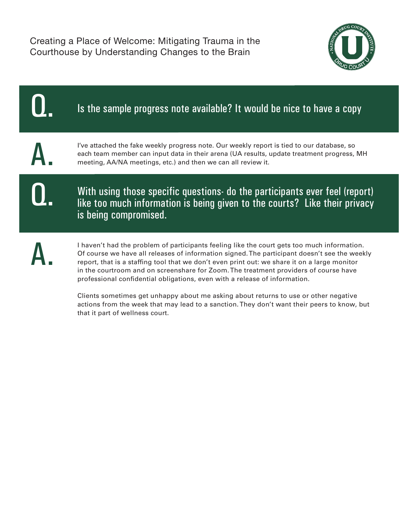Creating a Place of Welcome: Mitigating Trauma in the Courthouse by Understanding Changes to the Brain



| Is the sample progress note available? It would be nice to have a copy                                                                                                                                                                                                                                                                                                                                                                                                                                                                                                                                                                                                                      |
|---------------------------------------------------------------------------------------------------------------------------------------------------------------------------------------------------------------------------------------------------------------------------------------------------------------------------------------------------------------------------------------------------------------------------------------------------------------------------------------------------------------------------------------------------------------------------------------------------------------------------------------------------------------------------------------------|
| I've attached the fake weekly progress note. Our weekly report is tied to our database, so<br>each team member can input data in their arena (UA results, update treatment progress, MH<br>meeting, AA/NA meetings, etc.) and then we can all review it.                                                                                                                                                                                                                                                                                                                                                                                                                                    |
| With using those specific questions do the participants ever feel (report)<br>like too much information is being given to the courts? Like their privacy<br>is being compromised.                                                                                                                                                                                                                                                                                                                                                                                                                                                                                                           |
| I haven't had the problem of participants feeling like the court gets too much information.<br>Of course we have all releases of information signed. The participant doesn't see the weekly<br>report, that is a staffing tool that we don't even print out: we share it on a large monitor<br>in the courtroom and on screenshare for Zoom. The treatment providers of course have<br>professional confidential obligations, even with a release of information.<br>Clients sometimes get unhappy about me asking about returns to use or other negative<br>actions from the week that may lead to a sanction. They don't want their peers to know, but<br>that it part of wellness court. |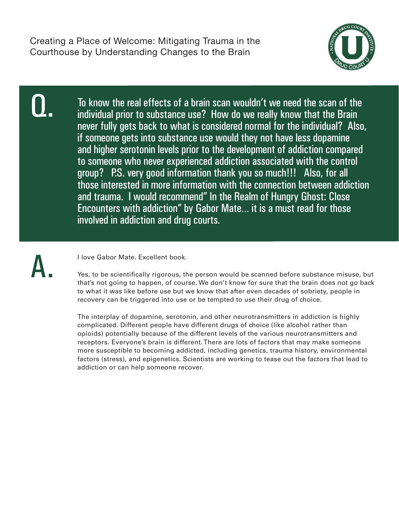

Q.

To know the real effects of a brain scan wouldn't we need the scan of the individual prior to substance use? How do we really know that the Brain never fully gets back to what is considered normal for the individual? Also, if someone gets into substance use would they not have less dopamine and higher serotonin levels prior to the development of addiction compared to someone who never experienced addiction associated with the control group? P.S. very good information thank you so much!!! Also, for all those interested in more information with the connection between addiction and trauma. I would recommend" In the Realm of Hungry Ghost: Close Encounters with addiction" by Gabor Mate… it is a must read for those involved in addiction and drug courts.



I love Gabor Mate. Excellent book.

Yes, to be scientifically rigorous, the person would be scanned before substance misuse, but that's not going to happen, of course. We don't know for sure that the brain does not go back to what it was like before use but we know that after even decades of sobriety, people in recovery can be triggered into use or be tempted to use their drug of choice.

The interplay of dopamine, serotonin, and other neurotransmitters in addiction is highly complicated. Different people have different drugs of choice (like alcohol rather than opioids) potentially because of the different levels of the various neurotransmitters and receptors. Everyone's brain is different. There are lots of factors that may make someone more susceptible to becoming addicted, including genetics, trauma history, environmental factors (stress), and epigenetics. Scientists are working to tease out the factors that lead to addiction or can help someone recover.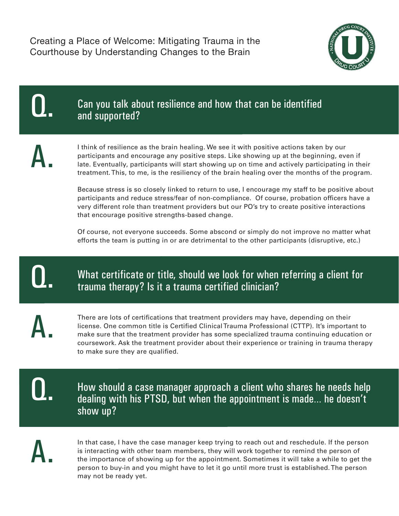Creating a Place of Welcome: Mitigating Trauma in the Courthouse by Understanding Changes to the Brain



Q.

Can you talk about resilience and how that can be identified and supported?

A.

I think of resilience as the brain healing. We see it with positive actions taken by our participants and encourage any positive steps. Like showing up at the beginning, even if late. Eventually, participants will start showing up on time and actively participating in their treatment. This, to me, is the resiliency of the brain healing over the months of the program.

Because stress is so closely linked to return to use, I encourage my staff to be positive about participants and reduce stress/fear of non-compliance. Of course, probation officers have a very different role than treatment providers but our PO's try to create positive interactions that encourage positive strengths-based change.

Of course, not everyone succeeds. Some abscond or simply do not improve no matter what efforts the team is putting in or are detrimental to the other participants (disruptive, etc.)

Q.

## What certificate or title, should we look for when referring a client for trauma therapy? Is it a trauma certified clinician?

A.

There are lots of certifications that treatment providers may have, depending on their license. One common title is Certified Clinical Trauma Professional (CTTP). It's important to make sure that the treatment provider has some specialized trauma continuing education or coursework. Ask the treatment provider about their experience or training in trauma therapy to make sure they are qualified.

Q.

How should a case manager approach a client who shares he needs help dealing with his PTSD, but when the appointment is made… he doesn't show up?

A.

In that case, I have the case manager keep trying to reach out and reschedule. If the person is interacting with other team members, they will work together to remind the person of the importance of showing up for the appointment. Sometimes it will take a while to get the person to buy-in and you might have to let it go until more trust is established. The person may not be ready yet.